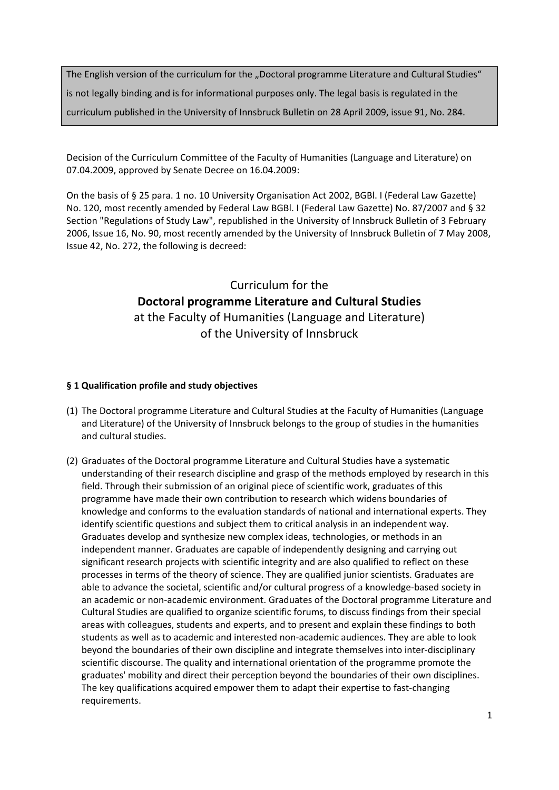The English version of the curriculum for the "Doctoral programme Literature and Cultural Studies" is not legally binding and is for informational purposes only. The legal basis is regulated in the curriculum published in the University of Innsbruck Bulletin on 28 April 2009, issue 91, No. 284.

Decision of the Curriculum Committee of the Faculty of Humanities (Language and Literature) on 07.04.2009, approved by Senate Decree on 16.04.2009:

On the basis of § 25 para. 1 no. 10 University Organisation Act 2002, BGBl. I (Federal Law Gazette) No. 120, most recently amended by Federal Law BGBl. I (Federal Law Gazette) No. 87/2007 and § 32 Section "Regulations of Study Law", republished in the University of Innsbruck Bulletin of 3 February 2006, Issue 16, No. 90, most recently amended by the University of Innsbruck Bulletin of 7 May 2008, Issue 42, No. 272, the following is decreed:

# Curriculum for the **Doctoral programme Literature and Cultural Studies** at the Faculty of Humanities (Language and Literature) of the University of Innsbruck

## **§ 1 Qualification profile and study objectives**

- (1) The Doctoral programme Literature and Cultural Studies at the Faculty of Humanities (Language and Literature) of the University of Innsbruck belongs to the group of studies in the humanities and cultural studies.
- (2) Graduates of the Doctoral programme Literature and Cultural Studies have a systematic understanding of their research discipline and grasp of the methods employed by research in this field. Through their submission of an original piece of scientific work, graduates of this programme have made their own contribution to research which widens boundaries of knowledge and conforms to the evaluation standards of national and international experts. They identify scientific questions and subject them to critical analysis in an independent way. Graduates develop and synthesize new complex ideas, technologies, or methods in an independent manner. Graduates are capable of independently designing and carrying out significant research projects with scientific integrity and are also qualified to reflect on these processes in terms of the theory of science. They are qualified junior scientists. Graduates are able to advance the societal, scientific and/or cultural progress of a knowledge‐based society in an academic or non‐academic environment. Graduates of the Doctoral programme Literature and Cultural Studies are qualified to organize scientific forums, to discuss findings from their special areas with colleagues, students and experts, and to present and explain these findings to both students as well as to academic and interested non‐academic audiences. They are able to look beyond the boundaries of their own discipline and integrate themselves into inter‐disciplinary scientific discourse. The quality and international orientation of the programme promote the graduates' mobility and direct their perception beyond the boundaries of their own disciplines. The key qualifications acquired empower them to adapt their expertise to fast‐changing requirements.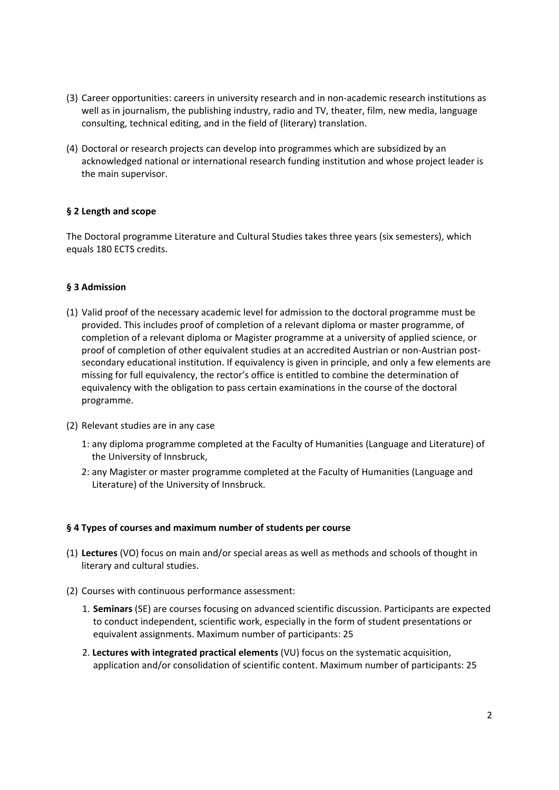- (3) Career opportunities: careers in university research and in non‐academic research institutions as well as in journalism, the publishing industry, radio and TV, theater, film, new media, language consulting, technical editing, and in the field of (literary) translation.
- (4) Doctoral or research projects can develop into programmes which are subsidized by an acknowledged national or international research funding institution and whose project leader is the main supervisor.

# **§ 2 Length and scope**

The Doctoral programme Literature and Cultural Studies takes three years (six semesters), which equals 180 ECTS credits.

## **§ 3 Admission**

- (1) Valid proof of the necessary academic level for admission to the doctoral programme must be provided. This includes proof of completion of a relevant diploma or master programme, of completion of a relevant diploma or Magister programme at a university of applied science, or proof of completion of other equivalent studies at an accredited Austrian or non‐Austrian post‐ secondary educational institution. If equivalency is given in principle, and only a few elements are missing for full equivalency, the rector's office is entitled to combine the determination of equivalency with the obligation to pass certain examinations in the course of the doctoral programme.
- (2) Relevant studies are in any case
	- 1: any diploma programme completed at the Faculty of Humanities (Language and Literature) of the University of Innsbruck,
	- 2: any Magister or master programme completed at the Faculty of Humanities (Language and Literature) of the University of Innsbruck.

#### **§ 4 Types of courses and maximum number of students per course**

- (1) **Lectures** (VO) focus on main and/or special areas as well as methods and schools of thought in literary and cultural studies.
- (2) Courses with continuous performance assessment:
	- 1. **Seminars** (SE) are courses focusing on advanced scientific discussion. Participants are expected to conduct independent, scientific work, especially in the form of student presentations or equivalent assignments. Maximum number of participants: 25
	- 2. **Lectures with integrated practical elements** (VU) focus on the systematic acquisition, application and/or consolidation of scientific content. Maximum number of participants: 25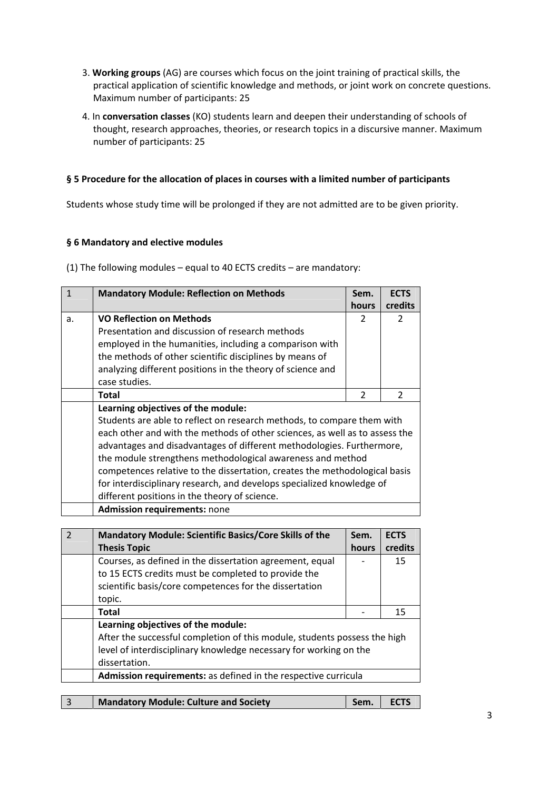- 3. **Working groups** (AG) are courses which focus on the joint training of practical skills, the practical application of scientific knowledge and methods, or joint work on concrete questions. Maximum number of participants: 25
- 4. In **conversation classes** (KO) students learn and deepen their understanding of schools of thought, research approaches, theories, or research topics in a discursive manner. Maximum number of participants: 25

# **§ 5 Procedure for the allocation of places in courses with a limited number of participants**

Students whose study time will be prolonged if they are not admitted are to be given priority.

# **§ 6 Mandatory and elective modules**

(1) The following modules – equal to 40 ECTS credits – are mandatory:

| $\mathbf{1}$   | <b>Mandatory Module: Reflection on Methods</b>                              | Sem.           | <b>ECTS</b>    |
|----------------|-----------------------------------------------------------------------------|----------------|----------------|
|                |                                                                             | hours          | credits        |
| a.             | <b>VO Reflection on Methods</b>                                             | $\overline{2}$ | $\overline{2}$ |
|                | Presentation and discussion of research methods                             |                |                |
|                | employed in the humanities, including a comparison with                     |                |                |
|                | the methods of other scientific disciplines by means of                     |                |                |
|                | analyzing different positions in the theory of science and                  |                |                |
|                | case studies.                                                               |                |                |
|                | <b>Total</b>                                                                | 2              | $\mathcal{P}$  |
|                | Learning objectives of the module:                                          |                |                |
|                | Students are able to reflect on research methods, to compare them with      |                |                |
|                | each other and with the methods of other sciences, as well as to assess the |                |                |
|                | advantages and disadvantages of different methodologies. Furthermore,       |                |                |
|                | the module strengthens methodological awareness and method                  |                |                |
|                | competences relative to the dissertation, creates the methodological basis  |                |                |
|                | for interdisciplinary research, and develops specialized knowledge of       |                |                |
|                | different positions in the theory of science.                               |                |                |
|                | <b>Admission requirements: none</b>                                         |                |                |
|                |                                                                             |                |                |
| $\overline{2}$ | <b>Mandatory Module: Scientific Basics/Core Skills of the</b>               | Sem.           | <b>ECTS</b>    |
|                | <b>Thesis Topic</b>                                                         | hours          | credits        |
|                | Courses, as defined in the dissertation agreement, equal                    |                | 15             |
|                |                                                                             |                |                |

| Courses, as defined in the dissertation agreement, equal<br>to 15 ECTS credits must be completed to provide the<br>scientific basis/core competences for the dissertation<br>topic.                   | 15 |
|-------------------------------------------------------------------------------------------------------------------------------------------------------------------------------------------------------|----|
| Total                                                                                                                                                                                                 | 15 |
| Learning objectives of the module:<br>After the successful completion of this module, students possess the high<br>level of interdisciplinary knowledge necessary for working on the<br>dissertation. |    |
| Admission requirements: as defined in the respective curricula                                                                                                                                        |    |
|                                                                                                                                                                                                       |    |

|  | <b>Mandatory Module: Culture and Society</b> | Sem. | <b>ECTS</b> |
|--|----------------------------------------------|------|-------------|
|--|----------------------------------------------|------|-------------|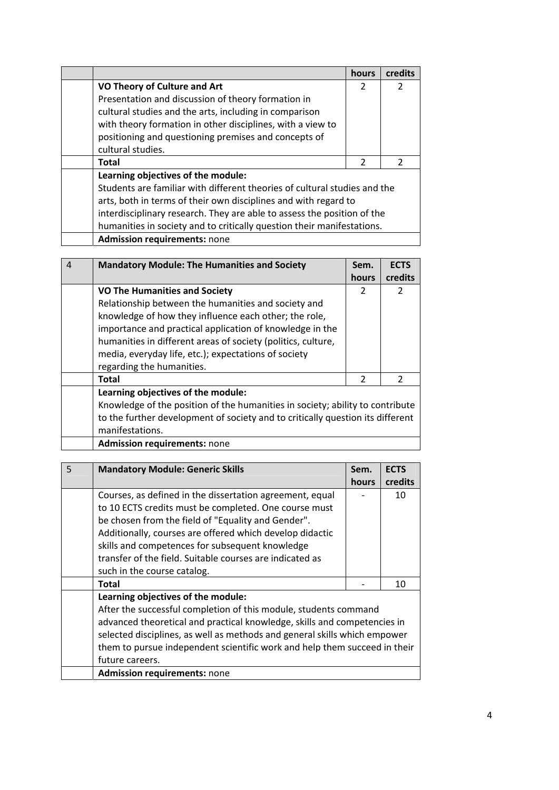|                                                                           | hours         | credits       |
|---------------------------------------------------------------------------|---------------|---------------|
| VO Theory of Culture and Art                                              | 2             | $\mathcal{P}$ |
| Presentation and discussion of theory formation in                        |               |               |
| cultural studies and the arts, including in comparison                    |               |               |
| with theory formation in other disciplines, with a view to                |               |               |
| positioning and questioning premises and concepts of                      |               |               |
| cultural studies.                                                         |               |               |
| <b>Total</b>                                                              | $\mathcal{P}$ | $\mathcal{P}$ |
| Learning objectives of the module:                                        |               |               |
| Students are familiar with different theories of cultural studies and the |               |               |
| arts, both in terms of their own disciplines and with regard to           |               |               |
| interdisciplinary research. They are able to assess the position of the   |               |               |
| humanities in society and to critically question their manifestations.    |               |               |
| <b>Admission requirements: none</b>                                       |               |               |

| $\boldsymbol{\Lambda}$ | <b>Mandatory Module: The Humanities and Society</b>                            | Sem.          | <b>ECTS</b>   |
|------------------------|--------------------------------------------------------------------------------|---------------|---------------|
|                        |                                                                                | hours         | credits       |
|                        | <b>VO The Humanities and Society</b>                                           | $\mathcal{P}$ | $\mathcal{P}$ |
|                        | Relationship between the humanities and society and                            |               |               |
|                        | knowledge of how they influence each other; the role,                          |               |               |
|                        | importance and practical application of knowledge in the                       |               |               |
|                        | humanities in different areas of society (politics, culture,                   |               |               |
|                        | media, everyday life, etc.); expectations of society                           |               |               |
|                        | regarding the humanities.                                                      |               |               |
|                        | <b>Total</b>                                                                   | 2             | $\mathcal{P}$ |
|                        | Learning objectives of the module:                                             |               |               |
|                        | Knowledge of the position of the humanities in society; ability to contribute  |               |               |
|                        | to the further development of society and to critically question its different |               |               |
|                        | manifestations.                                                                |               |               |
|                        | <b>Admission requirements: none</b>                                            |               |               |

| 5 | <b>Mandatory Module: Generic Skills</b>                                   | Sem.  | <b>ECTS</b> |
|---|---------------------------------------------------------------------------|-------|-------------|
|   |                                                                           | hours | credits     |
|   | Courses, as defined in the dissertation agreement, equal                  |       | 10          |
|   | to 10 ECTS credits must be completed. One course must                     |       |             |
|   | be chosen from the field of "Equality and Gender".                        |       |             |
|   | Additionally, courses are offered which develop didactic                  |       |             |
|   | skills and competences for subsequent knowledge                           |       |             |
|   | transfer of the field. Suitable courses are indicated as                  |       |             |
|   | such in the course catalog.                                               |       |             |
|   | Total                                                                     |       | 10          |
|   | Learning objectives of the module:                                        |       |             |
|   | After the successful completion of this module, students command          |       |             |
|   | advanced theoretical and practical knowledge, skills and competencies in  |       |             |
|   | selected disciplines, as well as methods and general skills which empower |       |             |
|   | them to pursue independent scientific work and help them succeed in their |       |             |
|   | future careers.                                                           |       |             |
|   | <b>Admission requirements: none</b>                                       |       |             |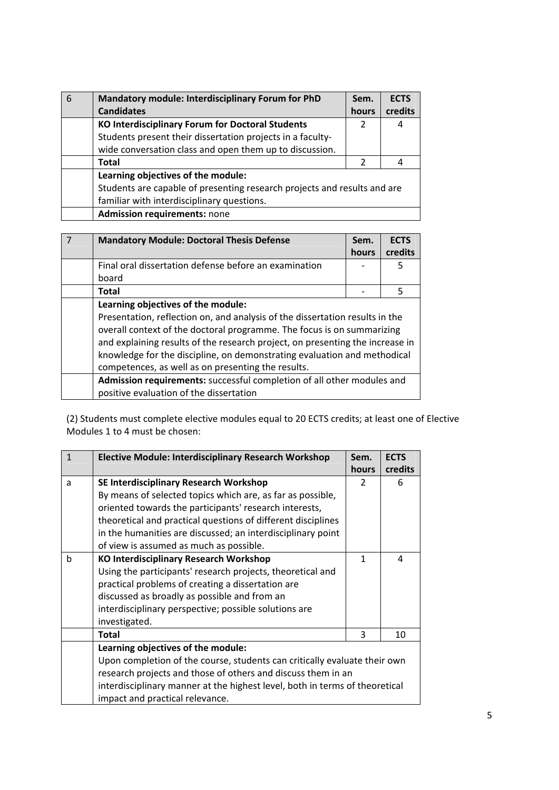| 6 | Mandatory module: Interdisciplinary Forum for PhD                        | Sem.          | <b>ECTS</b> |
|---|--------------------------------------------------------------------------|---------------|-------------|
|   | <b>Candidates</b>                                                        | hours         | credits     |
|   | <b>KO Interdisciplinary Forum for Doctoral Students</b>                  |               | 4           |
|   | Students present their dissertation projects in a faculty-               |               |             |
|   | wide conversation class and open them up to discussion.                  |               |             |
|   | <b>Total</b>                                                             | $\mathcal{P}$ | 4           |
|   | Learning objectives of the module:                                       |               |             |
|   | Students are capable of presenting research projects and results and are |               |             |
|   | familiar with interdisciplinary questions.                               |               |             |
|   | Admission requirements: none                                             |               |             |

| <b>Mandatory Module: Doctoral Thesis Defense</b>                                                                                                                                                                                                                                                                                                                          | Sem.<br>hours | <b>ECTS</b><br>credits |
|---------------------------------------------------------------------------------------------------------------------------------------------------------------------------------------------------------------------------------------------------------------------------------------------------------------------------------------------------------------------------|---------------|------------------------|
| Final oral dissertation defense before an examination                                                                                                                                                                                                                                                                                                                     |               | 5                      |
| board                                                                                                                                                                                                                                                                                                                                                                     |               |                        |
| <b>Total</b>                                                                                                                                                                                                                                                                                                                                                              |               | 5                      |
| Learning objectives of the module:                                                                                                                                                                                                                                                                                                                                        |               |                        |
| Presentation, reflection on, and analysis of the dissertation results in the<br>overall context of the doctoral programme. The focus is on summarizing<br>and explaining results of the research project, on presenting the increase in<br>knowledge for the discipline, on demonstrating evaluation and methodical<br>competences, as well as on presenting the results. |               |                        |
| Admission requirements: successful completion of all other modules and                                                                                                                                                                                                                                                                                                    |               |                        |
| positive evaluation of the dissertation                                                                                                                                                                                                                                                                                                                                   |               |                        |

(2) Students must complete elective modules equal to 20 ECTS credits; at least one of Elective Modules 1 to 4 must be chosen:

| $\mathbf{1}$ | <b>Elective Module: Interdisciplinary Research Workshop</b>                 | Sem.<br><b>hours</b> | <b>ECTS</b><br>credits |
|--------------|-----------------------------------------------------------------------------|----------------------|------------------------|
| a            | SE Interdisciplinary Research Workshop                                      | $\mathcal{P}$        | 6                      |
|              | By means of selected topics which are, as far as possible,                  |                      |                        |
|              | oriented towards the participants' research interests,                      |                      |                        |
|              | theoretical and practical questions of different disciplines                |                      |                        |
|              | in the humanities are discussed; an interdisciplinary point                 |                      |                        |
|              | of view is assumed as much as possible.                                     |                      |                        |
| h            | <b>KO Interdisciplinary Research Workshop</b>                               | 1                    | 4                      |
|              | Using the participants' research projects, theoretical and                  |                      |                        |
|              | practical problems of creating a dissertation are                           |                      |                        |
|              | discussed as broadly as possible and from an                                |                      |                        |
|              | interdisciplinary perspective; possible solutions are                       |                      |                        |
|              | investigated.                                                               |                      |                        |
|              | <b>Total</b>                                                                | 3                    | 10                     |
|              | Learning objectives of the module:                                          |                      |                        |
|              | Upon completion of the course, students can critically evaluate their own   |                      |                        |
|              | research projects and those of others and discuss them in an                |                      |                        |
|              | interdisciplinary manner at the highest level, both in terms of theoretical |                      |                        |
|              | impact and practical relevance.                                             |                      |                        |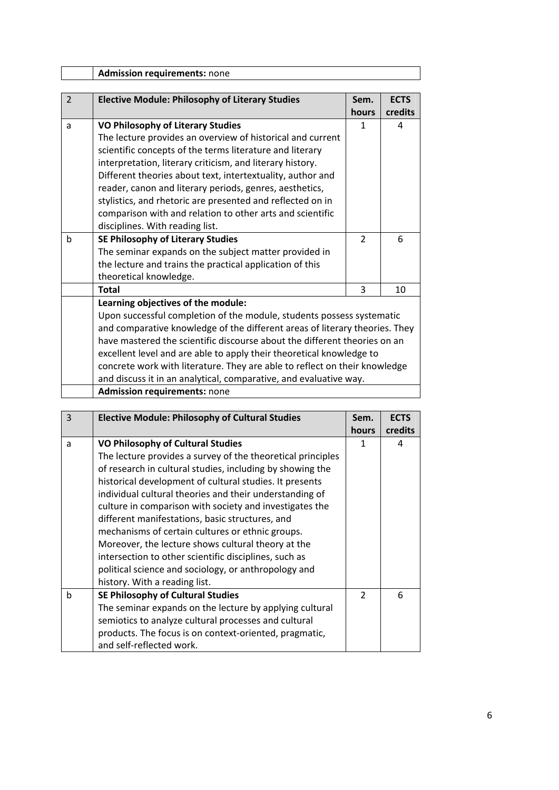|                | <b>Admission requirements: none</b>                                         |                |             |  |
|----------------|-----------------------------------------------------------------------------|----------------|-------------|--|
|                |                                                                             |                |             |  |
| $\overline{2}$ | <b>Elective Module: Philosophy of Literary Studies</b>                      | Sem.           | <b>ECTS</b> |  |
|                |                                                                             | hours          | credits     |  |
| a              | <b>VO Philosophy of Literary Studies</b>                                    | 1              | 4           |  |
|                | The lecture provides an overview of historical and current                  |                |             |  |
|                | scientific concepts of the terms literature and literary                    |                |             |  |
|                | interpretation, literary criticism, and literary history.                   |                |             |  |
|                | Different theories about text, intertextuality, author and                  |                |             |  |
|                | reader, canon and literary periods, genres, aesthetics,                     |                |             |  |
|                | stylistics, and rhetoric are presented and reflected on in                  |                |             |  |
|                | comparison with and relation to other arts and scientific                   |                |             |  |
|                | disciplines. With reading list.                                             |                |             |  |
| b              | <b>SE Philosophy of Literary Studies</b>                                    | $\overline{2}$ | 6           |  |
|                | The seminar expands on the subject matter provided in                       |                |             |  |
|                | the lecture and trains the practical application of this                    |                |             |  |
|                | theoretical knowledge.                                                      |                |             |  |
|                | <b>Total</b>                                                                | 3              | 10          |  |
|                | Learning objectives of the module:                                          |                |             |  |
|                | Upon successful completion of the module, students possess systematic       |                |             |  |
|                | and comparative knowledge of the different areas of literary theories. They |                |             |  |
|                | have mastered the scientific discourse about the different theories on an   |                |             |  |
|                | excellent level and are able to apply their theoretical knowledge to        |                |             |  |
|                | concrete work with literature. They are able to reflect on their knowledge  |                |             |  |
|                | and discuss it in an analytical, comparative, and evaluative way.           |                |             |  |
|                | <b>Admission requirements: none</b>                                         |                |             |  |

| 3 | <b>Elective Module: Philosophy of Cultural Studies</b>      | Sem.          | <b>ECTS</b> |
|---|-------------------------------------------------------------|---------------|-------------|
|   |                                                             | hours         | credits     |
| a | <b>VO Philosophy of Cultural Studies</b>                    | 1             | 4           |
|   | The lecture provides a survey of the theoretical principles |               |             |
|   | of research in cultural studies, including by showing the   |               |             |
|   | historical development of cultural studies. It presents     |               |             |
|   | individual cultural theories and their understanding of     |               |             |
|   | culture in comparison with society and investigates the     |               |             |
|   | different manifestations, basic structures, and             |               |             |
|   | mechanisms of certain cultures or ethnic groups.            |               |             |
|   | Moreover, the lecture shows cultural theory at the          |               |             |
|   | intersection to other scientific disciplines, such as       |               |             |
|   | political science and sociology, or anthropology and        |               |             |
|   | history. With a reading list.                               |               |             |
| b | SE Philosophy of Cultural Studies                           | $\mathcal{P}$ | 6           |
|   | The seminar expands on the lecture by applying cultural     |               |             |
|   | semiotics to analyze cultural processes and cultural        |               |             |
|   | products. The focus is on context-oriented, pragmatic,      |               |             |
|   | and self-reflected work.                                    |               |             |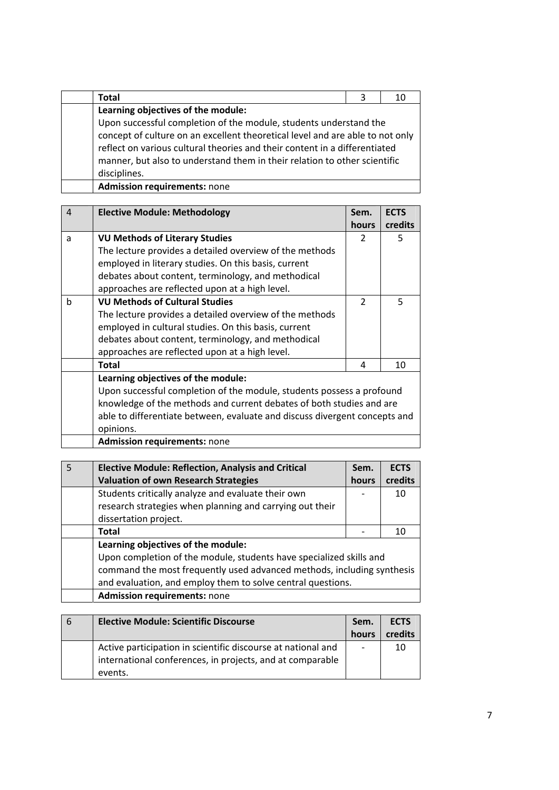| Total                                                                     | 3                                                                             | 10 |  |
|---------------------------------------------------------------------------|-------------------------------------------------------------------------------|----|--|
| Learning objectives of the module:                                        |                                                                               |    |  |
| Upon successful completion of the module, students understand the         |                                                                               |    |  |
|                                                                           | concept of culture on an excellent theoretical level and are able to not only |    |  |
|                                                                           | reflect on various cultural theories and their content in a differentiated    |    |  |
| manner, but also to understand them in their relation to other scientific |                                                                               |    |  |
| disciplines.                                                              |                                                                               |    |  |
| <b>Admission requirements: none</b>                                       |                                                                               |    |  |

| 4 | <b>Elective Module: Methodology</b>                                   | Sem.<br>hours                                                                                                                                      | <b>ECTS</b><br>credits |  |
|---|-----------------------------------------------------------------------|----------------------------------------------------------------------------------------------------------------------------------------------------|------------------------|--|
| a | <b>VU Methods of Literary Studies</b>                                 | $\mathcal{P}$                                                                                                                                      | 5                      |  |
|   | The lecture provides a detailed overview of the methods               |                                                                                                                                                    |                        |  |
|   | employed in literary studies. On this basis, current                  |                                                                                                                                                    |                        |  |
|   | debates about content, terminology, and methodical                    |                                                                                                                                                    |                        |  |
|   | approaches are reflected upon at a high level.                        |                                                                                                                                                    |                        |  |
| h | <b>VU Methods of Cultural Studies</b>                                 | $\mathcal{P}$                                                                                                                                      | 5                      |  |
|   | The lecture provides a detailed overview of the methods               |                                                                                                                                                    |                        |  |
|   | employed in cultural studies. On this basis, current                  |                                                                                                                                                    |                        |  |
|   | debates about content, terminology, and methodical                    |                                                                                                                                                    |                        |  |
|   | approaches are reflected upon at a high level.                        |                                                                                                                                                    |                        |  |
|   | <b>Total</b>                                                          | 4                                                                                                                                                  | 10                     |  |
|   | Learning objectives of the module:                                    |                                                                                                                                                    |                        |  |
|   | Upon successful completion of the module, students possess a profound |                                                                                                                                                    |                        |  |
|   |                                                                       | knowledge of the methods and current debates of both studies and are<br>able to differentiate between, evaluate and discuss divergent concepts and |                        |  |
|   |                                                                       |                                                                                                                                                    |                        |  |
|   | opinions.                                                             |                                                                                                                                                    |                        |  |

|  |  |  | <b>Admission requirements: none</b> |  |
|--|--|--|-------------------------------------|--|
|--|--|--|-------------------------------------|--|

| -5 | <b>Elective Module: Reflection, Analysis and Critical</b>              | Sem.  | <b>ECTS</b> |
|----|------------------------------------------------------------------------|-------|-------------|
|    | <b>Valuation of own Research Strategies</b>                            | hours | credits     |
|    | Students critically analyze and evaluate their own                     |       | 10          |
|    | research strategies when planning and carrying out their               |       |             |
|    | dissertation project.                                                  |       |             |
|    | Total                                                                  |       | 10          |
|    | Learning objectives of the module:                                     |       |             |
|    | Upon completion of the module, students have specialized skills and    |       |             |
|    | command the most frequently used advanced methods, including synthesis |       |             |
|    | and evaluation, and employ them to solve central questions.            |       |             |
|    | <b>Admission requirements: none</b>                                    |       |             |

| -6 | <b>Elective Module: Scientific Discourse</b>                 | Sem.  | <b>ECTS</b> |
|----|--------------------------------------------------------------|-------|-------------|
|    |                                                              | hours | credits     |
|    | Active participation in scientific discourse at national and |       | 10          |
|    | international conferences, in projects, and at comparable    |       |             |
|    | events.                                                      |       |             |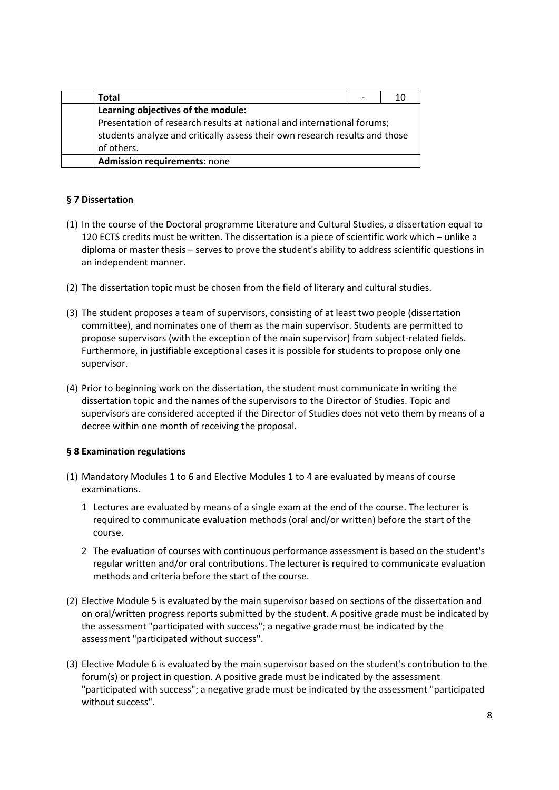| Total                                                                       |  |  |
|-----------------------------------------------------------------------------|--|--|
| Learning objectives of the module:                                          |  |  |
| Presentation of research results at national and international forums;      |  |  |
| students analyze and critically assess their own research results and those |  |  |
| of others.                                                                  |  |  |
| <b>Admission requirements: none</b>                                         |  |  |

# **§ 7 Dissertation**

- (1) In the course of the Doctoral programme Literature and Cultural Studies, a dissertation equal to 120 ECTS credits must be written. The dissertation is a piece of scientific work which – unlike a diploma or master thesis – serves to prove the student's ability to address scientific questions in an independent manner.
- (2) The dissertation topic must be chosen from the field of literary and cultural studies.
- (3) The student proposes a team of supervisors, consisting of at least two people (dissertation committee), and nominates one of them as the main supervisor. Students are permitted to propose supervisors (with the exception of the main supervisor) from subject‐related fields. Furthermore, in justifiable exceptional cases it is possible for students to propose only one supervisor.
- (4) Prior to beginning work on the dissertation, the student must communicate in writing the dissertation topic and the names of the supervisors to the Director of Studies. Topic and supervisors are considered accepted if the Director of Studies does not veto them by means of a decree within one month of receiving the proposal.

#### **§ 8 Examination regulations**

- (1) Mandatory Modules 1 to 6 and Elective Modules 1 to 4 are evaluated by means of course examinations.
	- 1 Lectures are evaluated by means of a single exam at the end of the course. The lecturer is required to communicate evaluation methods (oral and/or written) before the start of the course.
	- 2 The evaluation of courses with continuous performance assessment is based on the student's regular written and/or oral contributions. The lecturer is required to communicate evaluation methods and criteria before the start of the course.
- (2) Elective Module 5 is evaluated by the main supervisor based on sections of the dissertation and on oral/written progress reports submitted by the student. A positive grade must be indicated by the assessment "participated with success"; a negative grade must be indicated by the assessment "participated without success".
- (3) Elective Module 6 is evaluated by the main supervisor based on the student's contribution to the forum(s) or project in question. A positive grade must be indicated by the assessment "participated with success"; a negative grade must be indicated by the assessment "participated without success".